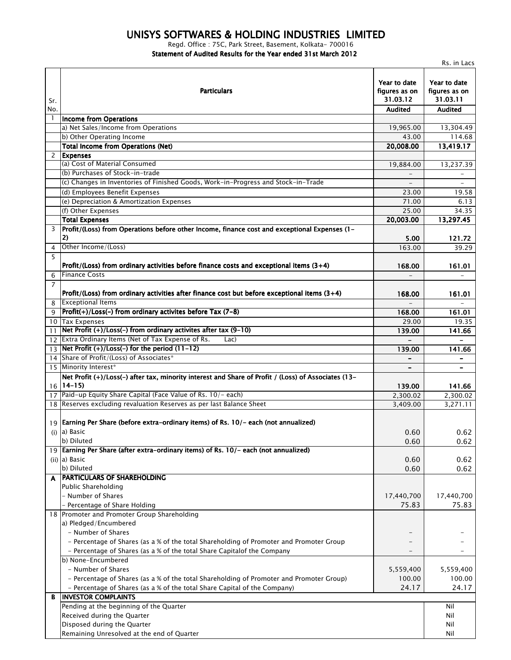## *UNISYS SOFTWARES & HOLDING INDUSTRIES LIMITED*

*Regd. Office : 75C, Park Street, Basement, Kolkata- 700016*

*Statement of Audited Results for the Year ended 31st March 2012*

|            | Rs. in Lacs                                                                                                              |                                                             |                                                             |  |
|------------|--------------------------------------------------------------------------------------------------------------------------|-------------------------------------------------------------|-------------------------------------------------------------|--|
| Sr.<br>No. | Particulars                                                                                                              | Year to date<br>figures as on<br>31.03.12<br><b>Audited</b> | Year to date<br>figures as on<br>31.03.11<br><b>Audited</b> |  |
|            | Income from Operations                                                                                                   |                                                             |                                                             |  |
|            | a) Net Sales/Income from Operations                                                                                      | 19,965.00                                                   | 13,304.49                                                   |  |
|            | b) Other Operating Income                                                                                                | 43.00                                                       | 114.68                                                      |  |
|            | <b>Total Income from Operations (Net)</b>                                                                                | 20,008.00                                                   | 13,419.17                                                   |  |
| 2          | <b>Expenses</b>                                                                                                          |                                                             |                                                             |  |
|            | (a) Cost of Material Consumed                                                                                            | 19,884.00                                                   | 13,237.39                                                   |  |
|            | (b) Purchases of Stock-in-trade                                                                                          |                                                             |                                                             |  |
|            | (c) Changes in Inventories of Finished Goods, Work-in-Progress and Stock-in-Trade                                        |                                                             |                                                             |  |
|            | (d) Employees Benefit Expenses                                                                                           | 23.00                                                       | 19.58                                                       |  |
|            | (e) Depreciation & Amortization Expenses                                                                                 | 71.00                                                       | 6.13                                                        |  |
|            | (f) Other Expenses                                                                                                       | 25.00                                                       | 34.35                                                       |  |
|            | <b>Total Expenses</b>                                                                                                    | 20,003.00                                                   | 13,297.45                                                   |  |
| 3          | Profit/(Loss) from Operations before other Income, finance cost and exceptional Expenses (1-<br>2)                       | 5.00                                                        | 121.72                                                      |  |
| 4          | Other Income/(Loss)                                                                                                      | 163.00                                                      | 39.29                                                       |  |
| 5          | Profit/(Loss) from ordinary activities before finance costs and exceptional items $(3+4)$                                |                                                             |                                                             |  |
|            | <b>Finance Costs</b>                                                                                                     | 168.00                                                      | 161.01                                                      |  |
| 6<br>7     |                                                                                                                          |                                                             |                                                             |  |
|            |                                                                                                                          |                                                             |                                                             |  |
|            | Profit/(Loss) from ordinary activities after finance cost but before exceptional items (3+4)<br><b>Exceptional Items</b> | 168.00                                                      | 161.01                                                      |  |
| 8          | $Profit(+)/Loss(-)$ from ordinary activites before Tax (7-8)                                                             |                                                             |                                                             |  |
| 9          |                                                                                                                          | 168.00                                                      | 161.01                                                      |  |
|            | 10 Tax Expenses                                                                                                          | 29.00                                                       | 19.35                                                       |  |
| 11         | Net Profit $(+)/$ Loss(-) from ordinary activites after tax (9-10)                                                       | 139.00                                                      | 141.66                                                      |  |
|            | 12 Extra Ordinary Items (Net of Tax Expense of Rs.<br>Lac)                                                               |                                                             |                                                             |  |
|            | 13 Net Profit $(+)/$ Loss(-) for the period $(11-12)$                                                                    | 139.00                                                      | 141.66                                                      |  |
|            | 14 Share of Profit/(Loss) of Associates*                                                                                 |                                                             | $\overline{\phantom{a}}$                                    |  |
|            | 15 Minority Interest*                                                                                                    | $\overline{\phantom{0}}$                                    |                                                             |  |
|            | Net Profit (+)/Loss(-) after tax, minority interest and Share of Profit / (Loss) of Associates (13-<br>$16$   14–15)     | 139.00                                                      | 141.66                                                      |  |
|            | 17 Paid-up Equity Share Capital (Face Value of Rs. 10/- each)                                                            | 2,300.02                                                    | 2,300.02                                                    |  |
|            | 18 Reserves excluding revaluation Reserves as per last Balance Sheet                                                     | 3,409.00                                                    | 3,271.11                                                    |  |
|            | 19 Earning Per Share (before extra-ordinary items) of Rs. 10/- each (not annualized)                                     |                                                             |                                                             |  |
|            | (i) $ a $ Basic                                                                                                          | 0.60                                                        | 0.62                                                        |  |
|            | b) Diluted                                                                                                               | 0.60                                                        | 0.62                                                        |  |
|            | 19 Earning Per Share (after extra-ordinary items) of Rs. 10/- each (not annualized)                                      |                                                             |                                                             |  |
|            | (ii) a) Basic                                                                                                            | 0.60                                                        | 0.62                                                        |  |
|            | b) Diluted                                                                                                               | 0.60                                                        | 0.62                                                        |  |
| A          | <b>PARTICULARS OF SHAREHOLDING</b>                                                                                       |                                                             |                                                             |  |
|            | Public Shareholding                                                                                                      |                                                             |                                                             |  |
|            | - Number of Shares                                                                                                       | 17,440,700                                                  | 17,440,700                                                  |  |
|            | - Percentage of Share Holding                                                                                            | 75.83                                                       | 75.83                                                       |  |
|            | 18 Promoter and Promoter Group Shareholding                                                                              |                                                             |                                                             |  |
|            | a) Pledged/Encumbered                                                                                                    |                                                             |                                                             |  |
|            | - Number of Shares                                                                                                       |                                                             |                                                             |  |
|            | - Percentage of Shares (as a % of the total Shareholding of Promoter and Promoter Group                                  |                                                             |                                                             |  |
|            | - Percentage of Shares (as a % of the total Share Capitalof the Company                                                  |                                                             |                                                             |  |
|            | b) None-Encumbered                                                                                                       |                                                             |                                                             |  |
|            | - Number of Shares                                                                                                       | 5,559,400                                                   | 5,559,400                                                   |  |
|            | - Percentage of Shares (as a % of the total Shareholding of Promoter and Promoter Group)                                 | 100.00                                                      | 100.00                                                      |  |
|            | - Percentage of Shares (as a % of the total Share Capital of the Company)                                                | 24.17                                                       | 24.17                                                       |  |
| В          | <b>INVESTOR COMPLAINTS</b>                                                                                               |                                                             |                                                             |  |
|            | Pending at the beginning of the Quarter                                                                                  |                                                             | Nil                                                         |  |
|            | Received during the Quarter                                                                                              |                                                             | Nil                                                         |  |
|            | Disposed during the Quarter                                                                                              |                                                             | Nil                                                         |  |
|            | Remaining Unresolved at the end of Quarter                                                                               |                                                             | Nil                                                         |  |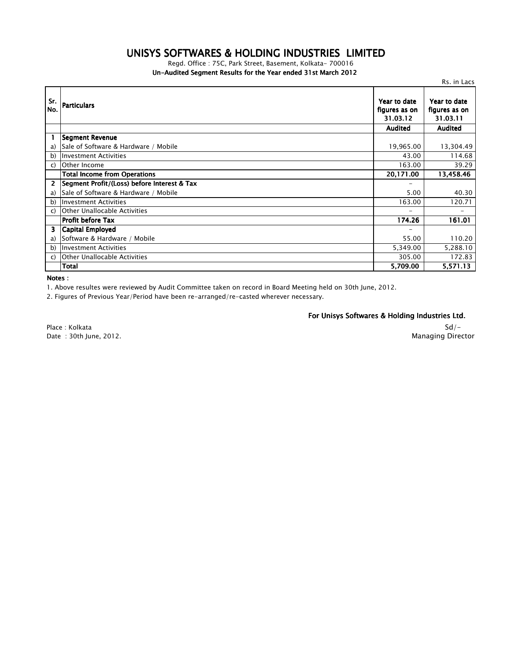## *UNISYS SOFTWARES & HOLDING INDUSTRIES LIMITED*

*Un-Audited Segment Results for the Year ended 31st March 2012 Regd. Office : 75C, Park Street, Basement, Kolkata- 700016*

|              |                                             |                                           | Rs. in Lacs                               |
|--------------|---------------------------------------------|-------------------------------------------|-------------------------------------------|
| Sr.<br>No.   | <b>Particulars</b>                          | Year to date<br>figures as on<br>31.03.12 | Year to date<br>figures as on<br>31.03.11 |
|              |                                             | <b>Audited</b>                            | <b>Audited</b>                            |
| $\mathbf{1}$ | Segment Revenue                             |                                           |                                           |
| a)           | Sale of Software & Hardware / Mobile        | 19,965.00                                 | 13,304.49                                 |
| b)           | <b>Investment Activities</b>                | 43.00                                     | 114.68                                    |
| $\mathsf{C}$ | Other Income                                | 163.00                                    | 39.29                                     |
|              | <b>Total Income from Operations</b>         | 20,171.00                                 | 13,458.46                                 |
| 2            | Segment Profit/(Loss) before Interest & Tax |                                           |                                           |
| a)           | Sale of Software & Hardware / Mobile        | 5.00                                      | 40.30                                     |
| b)           | <b>Investment Activities</b>                | 163.00                                    | 120.71                                    |
| C)           | <b>Other Unallocable Activities</b>         |                                           |                                           |
|              | <b>Profit before Tax</b>                    | 174.26                                    | 161.01                                    |
| 3            | <b>Capital Employed</b>                     |                                           |                                           |
| a)           | Software & Hardware / Mobile                | 55.00                                     | 110.20                                    |
| b)           | <b>Investment Activities</b>                | 5,349.00                                  | 5,288.10                                  |
| C)           | Other Unallocable Activities                | 305.00                                    | 172.83                                    |
|              | Total                                       | 5,709.00                                  | 5,571.13                                  |

*Notes :*

*1. Above resultes were reviewed by Audit Committee taken on record in Board Meeting held on 30th June, 2012.*

*2. Figures of Previous Year/Period have been re-arranged/re-casted wherever necessary.*

*For Unisys Softwares & Holding Industries Ltd.*

*Place : Kolkata Date : 30th June, 2012.*

## *Sd/- Managing Director*